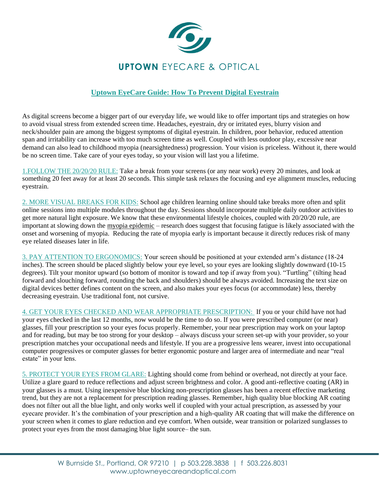

## **Uptown EyeCare Guide: How To Prevent Digital Eyestrain**

As digital screens become a bigger part of our everyday life, we would like to offer important tips and strategies on how to avoid visual stress from extended screen time. Headaches, eyestrain, dry or irritated eyes, blurry vision and neck/shoulder pain are among the biggest symptoms of digital eyestrain. In children, poor behavior, reduced attention span and irritability can increase with too much screen time as well. Coupled with less outdoor play, excessive near demand can also lead to childhood myopia (nearsightedness) progression. Your vision is priceless. Without it, there would be no screen time. Take care of your eyes today, so your vision will last you a lifetime.

1.FOLLOW THE 20/20/20 RULE: Take a break from your screens (or any near work) every 20 minutes, and look at something 20 feet away for at least 20 seconds. This simple task relaxes the focusing and eye alignment muscles, reducing eyestrain.

2. MORE VISUAL BREAKS FOR KIDS: School age children learning online should take breaks more often and split online sessions into multiple modules throughout the day. Sessions should incorporate multiple daily outdoor activities to get more natural light exposure. We know that these environmental lifestyle choices, coupled with 20/20/20 rule, are important at slowing down the [myopia epidemic]((https:/www.youtube.com/watch?v=hUeNz8VN_0o)) – research does suggest that focusing fatigue is likely associated with the onset and worsening of myopia. Reducing the rate of myopia early is important because it directly reduces risk of many eye related diseases later in life.

3. PAY ATTENTION TO ERGONOMICS: Your screen should be positioned at your extended arm's distance (18-24 inches). The screen should be placed slightly below your eye level, so your eyes are looking slightly downward (10-15 degrees). Tilt your monitor upward (so bottom of monitor is toward and top if away from you). "Turtling" (tilting head forward and slouching forward, rounding the back and shoulders) should be always avoided. Increasing the text size on digital devices better defines content on the screen, and also makes your eyes focus (or accommodate) less, thereby decreasing eyestrain. Use traditional font, not cursive.

4. GET YOUR EYES CHECKED AND WEAR APPROPRIATE PRESCRIPTION: If you or your child have not had your eyes checked in the last 12 months, now would be the time to do so. If you were prescribed computer (or near) glasses, fill your prescription so your eyes focus properly. Remember, your near prescription may work on your laptop and for reading, but may be too strong for your desktop – always discuss your screen set-up with your provider, so your prescription matches your occupational needs and lifestyle. If you are a progressive lens wearer, invest into occupational computer progressives or computer glasses for better ergonomic posture and larger area of intermediate and near "real estate" in your lens.

5. PROTECT YOUR EYES FROM GLARE: Lighting should come from behind or overhead, not directly at your face. Utilize a glare guard to reduce reflections and adjust screen brightness and color. A good anti-reflective coating (AR) in your glasses is a must. Using inexpensive blue blocking non-prescription glasses has been a recent effective marketing trend, but they are not a replacement for prescription reading glasses. Remember, high quality blue blocking AR coating does not filter out all the blue light, and only works well if coupled with your actual prescription, as assessed by your eyecare provider. It's the combination of your prescription and a high-quality AR coating that will make the difference on your screen when it comes to glare reduction and eye comfort. When outside, wear transition or polarized sunglasses to protect your eyes from the most damaging blue light source– the sun.